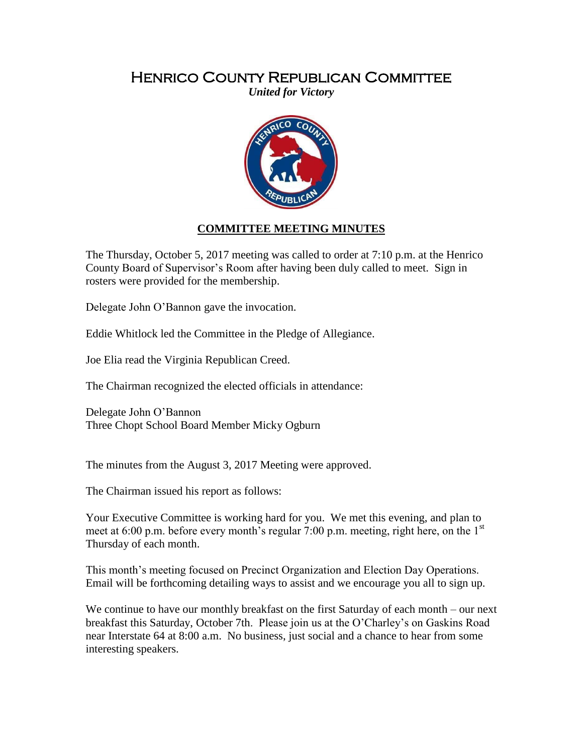## Henrico County Republican Committee

*United for Victory*



## **COMMITTEE MEETING MINUTES**

The Thursday, October 5, 2017 meeting was called to order at 7:10 p.m. at the Henrico County Board of Supervisor's Room after having been duly called to meet. Sign in rosters were provided for the membership.

Delegate John O'Bannon gave the invocation.

Eddie Whitlock led the Committee in the Pledge of Allegiance.

Joe Elia read the Virginia Republican Creed.

The Chairman recognized the elected officials in attendance:

Delegate John O'Bannon Three Chopt School Board Member Micky Ogburn

The minutes from the August 3, 2017 Meeting were approved.

The Chairman issued his report as follows:

Your Executive Committee is working hard for you. We met this evening, and plan to meet at 6:00 p.m. before every month's regular 7:00 p.m. meeting, right here, on the  $1<sup>st</sup>$ Thursday of each month.

This month's meeting focused on Precinct Organization and Election Day Operations. Email will be forthcoming detailing ways to assist and we encourage you all to sign up.

We continue to have our monthly breakfast on the first Saturday of each month – our next breakfast this Saturday, October 7th. Please join us at the O'Charley's on Gaskins Road near Interstate 64 at 8:00 a.m. No business, just social and a chance to hear from some interesting speakers.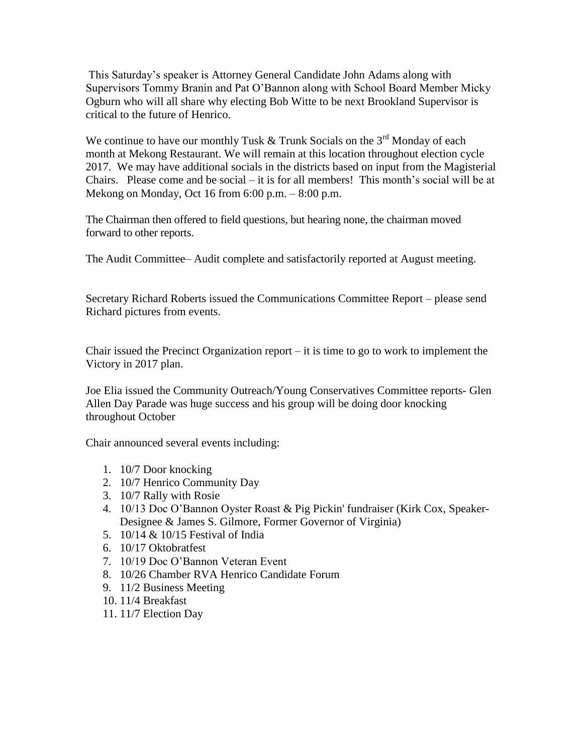This Saturday's speaker is Attorney General Candidate John Adams along with Supervisors Tommy Branin and Pat O'Bannon along with School Board Member Micky Ogburn who will all share why electing Bob Witte to be next Brookland Supervisor is critical to the future of Henrico.

We continue to have our monthly Tusk  $&$  Trunk Socials on the 3<sup>rd</sup> Monday of each month at Mekong Restaurant. We will remain at this location throughout election cycle 2017. We may have additional socials in the districts based on input from the Magisterial Chairs. Please come and be social  $-$  it is for all members! This month's social will be at Mekong on Monday, Oct 16 from 6:00 p.m. – 8:00 p.m.

The Chairman then offered to field questions, but hearing none, the chairman moved forward to other reports.

The Audit Committee– Audit complete and satisfactorily reported at August meeting.

Secretary Richard Roberts issued the Communications Committee Report – please send Richard pictures from events.

Chair issued the Precinct Organization report  $-$  it is time to go to work to implement the Victory in 2017 plan.

Joe Elia issued the Community Outreach/Young Conservatives Committee reports- Glen Allen Day Parade was huge success and his group will be doing door knocking throughout October

Chair announced several events including:

- 1. 10/7 Door knocking
- 2. 10/7 Henrico Community Day
- 3. 10/7 Rally with Rosie
- 4. 10/13 Doc O'Bannon Oyster Roast & Pig Pickin' fundraiser (Kirk Cox, Speaker-Designee & James S. Gilmore, Former Governor of Virginia)
- 5. 10/14 & 10/15 Festival of India
- 6. 10/17 Oktobratfest
- 7. 10/19 Doc O'Bannon Veteran Event
- 8. 10/26 Chamber RVA Henrico Candidate Forum
- 9. 11/2 Business Meeting
- 10. 11/4 Breakfast
- 11. 11/7 Election Day